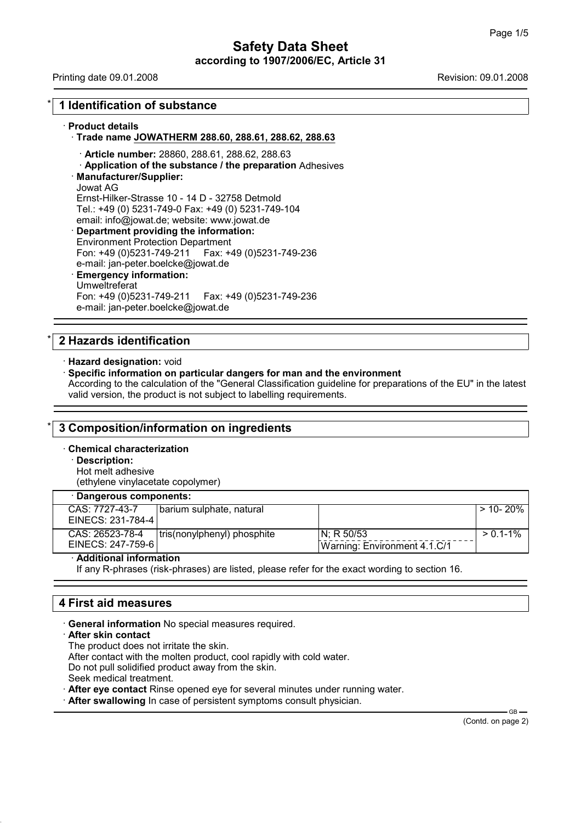# **Safety Data Sheet according to 1907/2006/EC, Article 31**

Printing date 09.01.2008 **Revision: 09.01.2008** Revision: 09.01.2008

# \* **1 Identification of substance**

## · **Product details**

# · **Trade name JOWATHERM 288.60, 288.61, 288.62, 288.63**

- · **Article number:** 28860, 288.61, 288.62, 288.63
- · **Application of the substance / the preparation** Adhesives

## · **Manufacturer/Supplier:**

Jowat AG Ernst-Hilker-Strasse 10 - 14 D - 32758 Detmold Tel.: +49 (0) 5231-749-0 Fax: +49 (0) 5231-749-104 email: info@jowat.de; website: www.jowat.de

· **Department providing the information:** Environment Protection Department Fon: +49 (0)5231-749-211 Fax: +49 (0)5231-749-236 e-mail: jan-peter.boelcke@jowat.de

#### · **Emergency information:** Umweltreferat

Fon: +49 (0)5231-749-211 Fax: +49 (0)5231-749-236 e-mail: jan-peter.boelcke@jowat.de

# \* **2 Hazards identification**

· **Hazard designation:** void

## · **Specific information on particular dangers for man and the environment**

According to the calculation of the "General Classification guideline for preparations of the EU" in the latest valid version, the product is not subject to labelling requirements.

## \* **3 Composition/information on ingredients**

- · **Chemical characterization**
	- · **Description:**

Hot melt adhesive (ethylene vinylacetate copolymer)

## · **Dangerous components:**

| CAS: 7727-43-7    | barium sulphate, natural    |                              | > 10- 20%     |
|-------------------|-----------------------------|------------------------------|---------------|
| EINECS: 231-784-4 |                             |                              |               |
| CAS: 26523-78-4   | tris(nonylphenyl) phosphite | IN: R 50/53                  | $> 0.1 - 1\%$ |
| EINECS: 247-759-6 |                             | Warning: Environment 4.1.C/1 |               |
|                   |                             |                              |               |

## · **Additional information**

If any R-phrases (risk-phrases) are listed, please refer for the exact wording to section 16.

# **4 First aid measures**

· **General information** No special measures required.

## · **After skin contact**

The product does not irritate the skin. After contact with the molten product, cool rapidly with cold water. Do not pull solidified product away from the skin. Seek medical treatment.

After eye contact Rinse opened eye for several minutes under running water.

· **After swallowing** In case of persistent symptoms consult physician.

(Contd. on page 2)

GB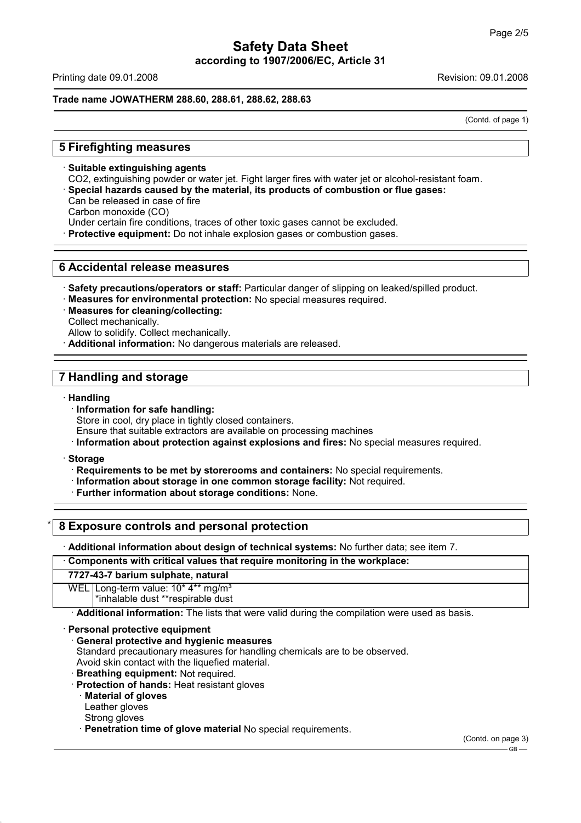# **Safety Data Sheet according to 1907/2006/EC, Article 31**

Printing date 09.01.2008 Revision: 09.01.2008

## **Trade name JOWATHERM 288.60, 288.61, 288.62, 288.63**

(Contd. of page 1)

# **5 Firefighting measures**

· **Suitable extinguishing agents** CO2, extinguishing powder or water jet. Fight larger fires with water jet or alcohol-resistant foam. · **Special hazards caused by the material, its products of combustion or flue gases:** Can be released in case of fire Carbon monoxide (CO) Under certain fire conditions, traces of other toxic gases cannot be excluded.

Protective equipment: Do not inhale explosion gases or combustion gases.

# **6 Accidental release measures**

- · **Safety precautions/operators or staff:** Particular danger of slipping on leaked/spilled product.
- · **Measures for environmental protection:** No special measures required.
- · **Measures for cleaning/collecting:** Collect mechanically. Allow to solidify. Collect mechanically.
- · **Additional information:** No dangerous materials are released.

# **7 Handling and storage**

## · **Handling**

· **Information for safe handling:**

Store in cool, dry place in tightly closed containers.

- Ensure that suitable extractors are available on processing machines
- · **Information about protection against explosions and fires:** No special measures required.
- · **Storage**
	- · **Requirements to be met by storerooms and containers:** No special requirements.
	- · **Information about storage in one common storage facility:** Not required.
	- · **Further information about storage conditions:** None.

# \* **8 Exposure controls and personal protection**

· **Additional information about design of technical systems:** No further data; see item 7.

· **Components with critical values that require monitoring in the workplace:**

## **7727-43-7 barium sulphate, natural**

WEL Long-term value: 10\* 4\*\* ma/m<sup>3</sup>

\*inhalable dust \*\*respirable dust

· **Additional information:** The lists that were valid during the compilation were used as basis.

## · **Personal protective equipment**

· **General protective and hygienic measures**

Standard precautionary measures for handling chemicals are to be observed. Avoid skin contact with the liquefied material.

- · **Breathing equipment:** Not required.
- 
- · **Protection of hands:** Heat resistant gloves
	- · **Material of gloves**

Leather gloves

- Strong gloves
- · **Penetration time of glove material** No special requirements.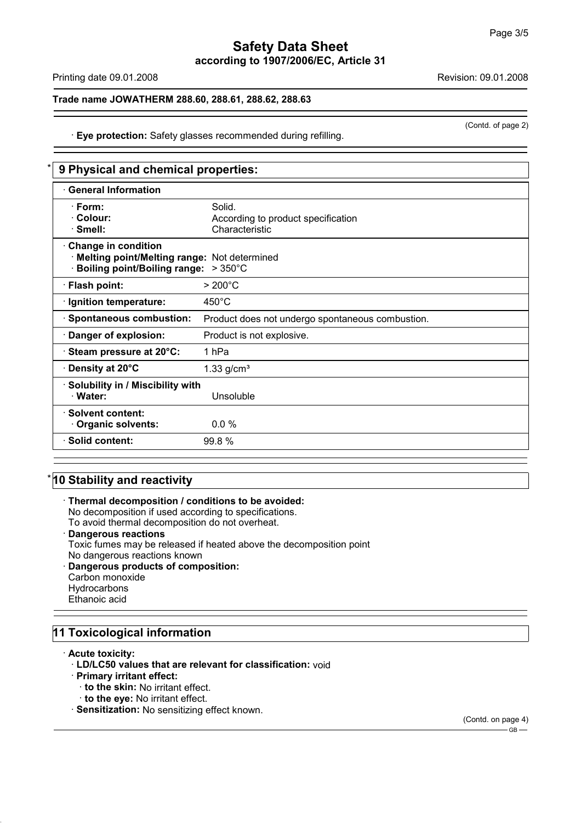# **Safety Data Sheet according to 1907/2006/EC, Article 31**

Printing date 09.01.2008 **Revision: 09.01.2008** Revision: 09.01.2008

## **Trade name JOWATHERM 288.60, 288.61, 288.62, 288.63**

(Contd. of page 2)

# · **Eye protection:** Safety glasses recommended during refilling.

|                                                                                                            | 9 Physical and chemical properties:                            |  |  |
|------------------------------------------------------------------------------------------------------------|----------------------------------------------------------------|--|--|
| <b>General Information</b>                                                                                 |                                                                |  |  |
| · Form:<br>· Colour:<br>· Smell:                                                                           | Solid.<br>According to product specification<br>Characteristic |  |  |
| Change in condition<br>Melting point/Melting range: Not determined<br>Boiling point/Boiling range: > 350°C |                                                                |  |  |
| · Flash point:                                                                                             | $>200^{\circ}$ C                                               |  |  |
| · Ignition temperature:                                                                                    | $450^{\circ}$ C                                                |  |  |
| · Spontaneous combustion:                                                                                  | Product does not undergo spontaneous combustion.               |  |  |
| · Danger of explosion:                                                                                     | Product is not explosive.                                      |  |  |
| · Steam pressure at 20°C:                                                                                  | 1 <sub>hPa</sub>                                               |  |  |
| ⋅ Density at 20°C                                                                                          | $1.33$ g/cm <sup>3</sup>                                       |  |  |
| · Solubility in / Miscibility with<br>· Water:                                                             | Unsoluble                                                      |  |  |
| · Solvent content:<br>Organic solvents:                                                                    | $0.0\%$                                                        |  |  |
| · Solid content:                                                                                           | 99.8 %                                                         |  |  |

# **10 Stability and reactivity**

· **Thermal decomposition / conditions to be avoided:** No decomposition if used according to specifications. To avoid thermal decomposition do not overheat. · **Dangerous reactions** Toxic fumes may be released if heated above the decomposition point No dangerous reactions known · **Dangerous products of composition:** Carbon monoxide **Hydrocarbons** Ethanoic acid

# **11 Toxicological information**

· **Acute toxicity:**

- · **LD/LC50 values that are relevant for classification:** void
- · **Primary irritant effect:**
	- · **to the skin:** No irritant effect.
	- · **to the eye:** No irritant effect.
- · **Sensitization:** No sensitizing effect known.

(Contd. on page 4)  $-$  GB $-$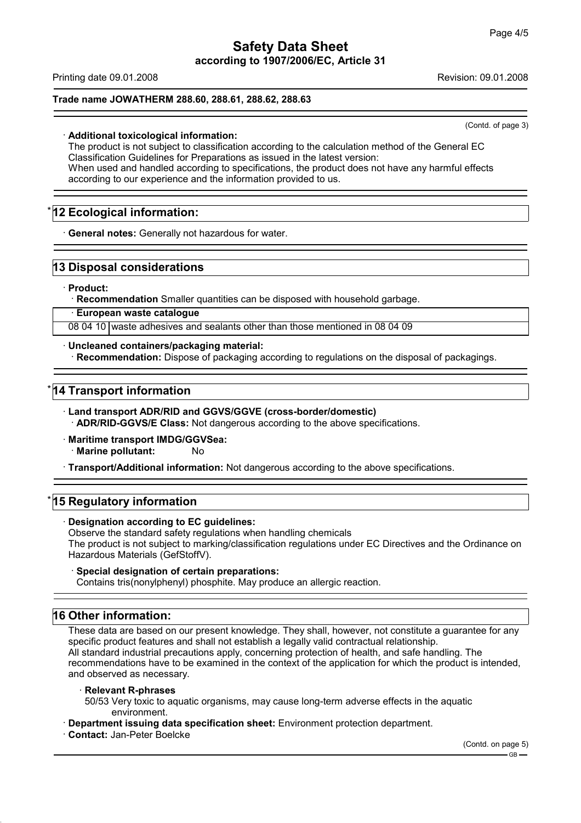Printing date 09.01.2008 Revision: 09.01.2008

## **Trade name JOWATHERM 288.60, 288.61, 288.62, 288.63**

(Contd. of page 3)

## · **Additional toxicological information:**

The product is not subject to classification according to the calculation method of the General EC Classification Guidelines for Preparations as issued in the latest version: When used and handled according to specifications, the product does not have any harmful effects according to our experience and the information provided to us.

# **12 Ecological information:**

· **General notes:** Generally not hazardous for water.

# **13 Disposal considerations**

· **Product:**

· **Recommendation** Smaller quantities can be disposed with household garbage.

· **European waste catalogue**

08 04 10 waste adhesives and sealants other than those mentioned in 08 04 09

· **Uncleaned containers/packaging material:** · **Recommendation:** Dispose of packaging according to regulations on the disposal of packagings.

# **14 Transport information**

- · **Land transport ADR/RID and GGVS/GGVE (cross-border/domestic)** · **ADR/RID-GGVS/E Class:** Not dangerous according to the above specifications.
- · **Maritime transport IMDG/GGVSea: Marine pollutant:** No

· **Transport/Additional information:** Not dangerous according to the above specifications.

# **15 Regulatory information**

· **Designation according to EC guidelines:**

Observe the standard safety regulations when handling chemicals The product is not subject to marking/classification regulations under EC Directives and the Ordinance on Hazardous Materials (GefStoffV).

## · **Special designation of certain preparations:**

Contains tris(nonylphenyl) phosphite. May produce an allergic reaction.

# **16 Other information:**

These data are based on our present knowledge. They shall, however, not constitute a guarantee for any specific product features and shall not establish a legally valid contractual relationship. All standard industrial precautions apply, concerning protection of health, and safe handling. The recommendations have to be examined in the context of the application for which the product is intended, and observed as necessary.

## · **Relevant R-phrases**

50/53 Very toxic to aquatic organisms, may cause long-term adverse effects in the aquatic environment.

· **Department issuing data specification sheet:** Environment protection department.

# · **Contact:** Jan-Peter Boelcke

(Contd. on page 5)